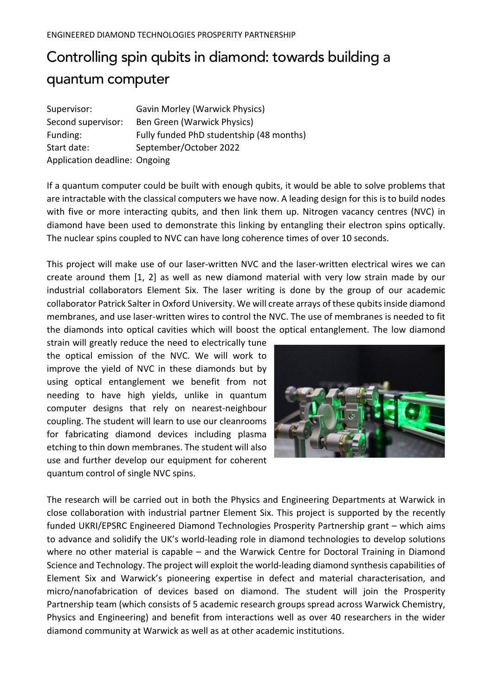## Controlling spin qubits in diamond: towards building a quantum computer

| Supervisor:                   | <b>Gavin Morley (Warwick Physics)</b>    |
|-------------------------------|------------------------------------------|
| Second supervisor:            | Ben Green (Warwick Physics)              |
| Funding:                      | Fully funded PhD studentship (48 months) |
| Start date:                   | September/October 2022                   |
| Application deadline: Ongoing |                                          |

If a quantum computer could be built with enough qubits, it would be able to solve problems that are intractable with the classical computers we have now. A leading design for this is to build nodes with five or more interacting qubits, and then link them up. Nitrogen vacancy centres (NVC) in diamond have been used to demonstrate this linking by entangling their electron spins optically. The nuclear spins coupled to NVC can have long coherence times of over 10 seconds.

This project will make use of our laser-written NVC and the laser-written electrical wires we can create around them [1, 2] as well as new diamond material with very low strain made by our industrial collaborators Element Six. The laser writing is done by the group of our academic collaborator Patrick Salter in Oxford University. We will create arrays of these qubits inside diamond membranes, and use laser-written wires to control the NVC. The use of membranes is needed to fit the diamonds into optical cavities which will boost the optical entanglement. The low diamond

strain will greatly reduce the need to electrically tune the optical emission of the NVC. We will work to improve the yield of NVC in these diamonds but by using optical entanglement we benefit from not needing to have high yields, unlike in quantum computer designs that rely on nearest-neighbour coupling. The student will learn to use our cleanrooms for fabricating diamond devices including plasma etching to thin down membranes. The student will also use and further develop our equipment for coherent quantum control of single NVC spins.



The research will be carried out in both the Physics and Engineering Departments at Warwick in close collaboration with industrial partner Element Six. This project is supported by the recently funded UKRI/EPSRC Engineered Diamond Technologies Prosperity Partnership grant – which aims to advance and solidify the UK's world-leading role in diamond technologies to develop solutions where no other material is capable – and the Warwick Centre for Doctoral Training in Diamond Science and Technology. The project will exploit the world-leading diamond synthesis capabilities of Element Six and Warwick's pioneering expertise in defect and material characterisation, and micro/nanofabrication of devices based on diamond. The student will join the Prosperity Partnership team (which consists of 5 academic research groups spread across Warwick Chemistry, Physics and Engineering) and benefit from interactions well as over 40 researchers in the wider diamond community at Warwick as well as at other academic institutions.